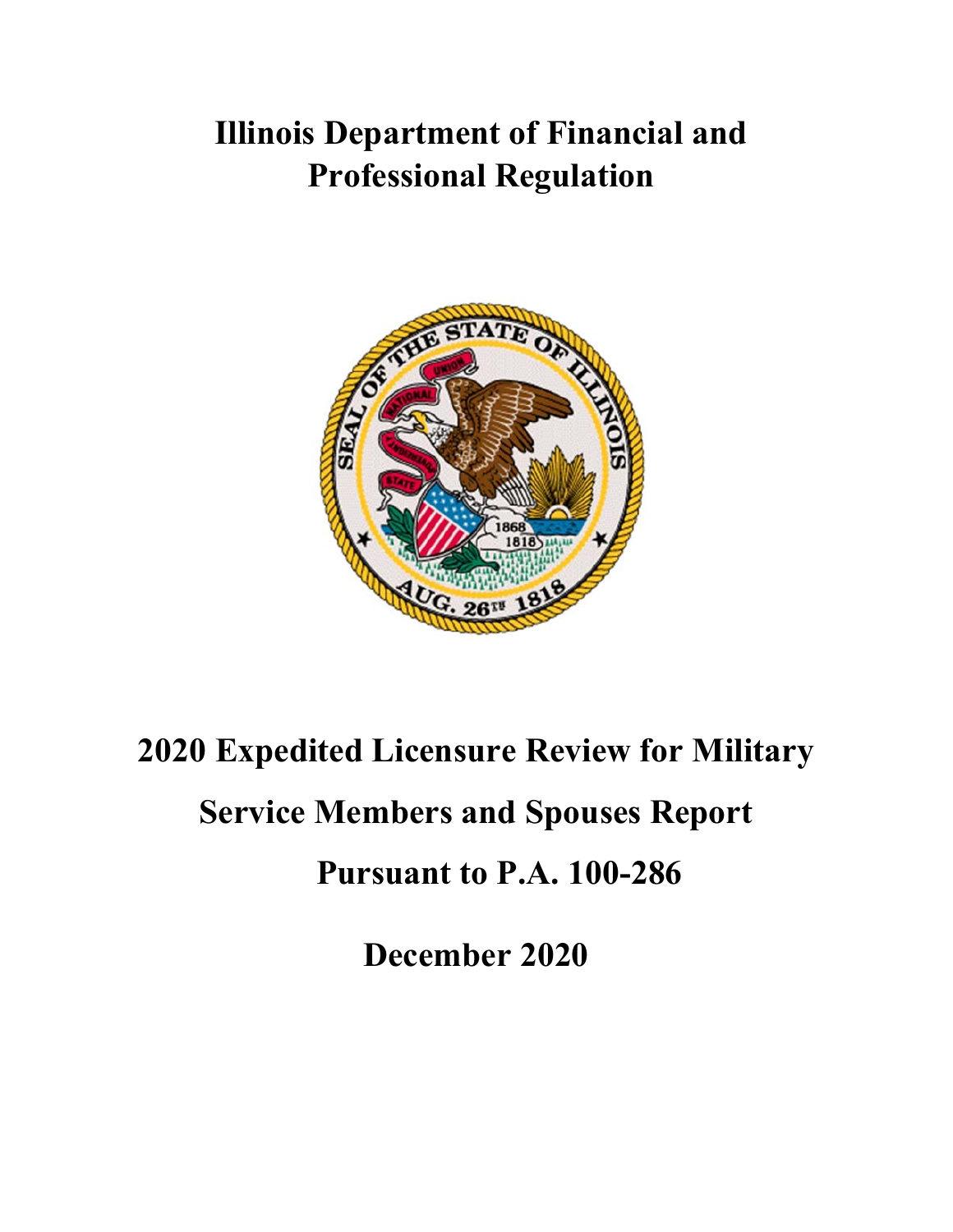## **Illinois Department of Financial and Professional Regulation**



## **2020 Expedited Licensure Review for Military Service Members and Spouses Report Pursuant to P.A. 100-286**

**December 2020**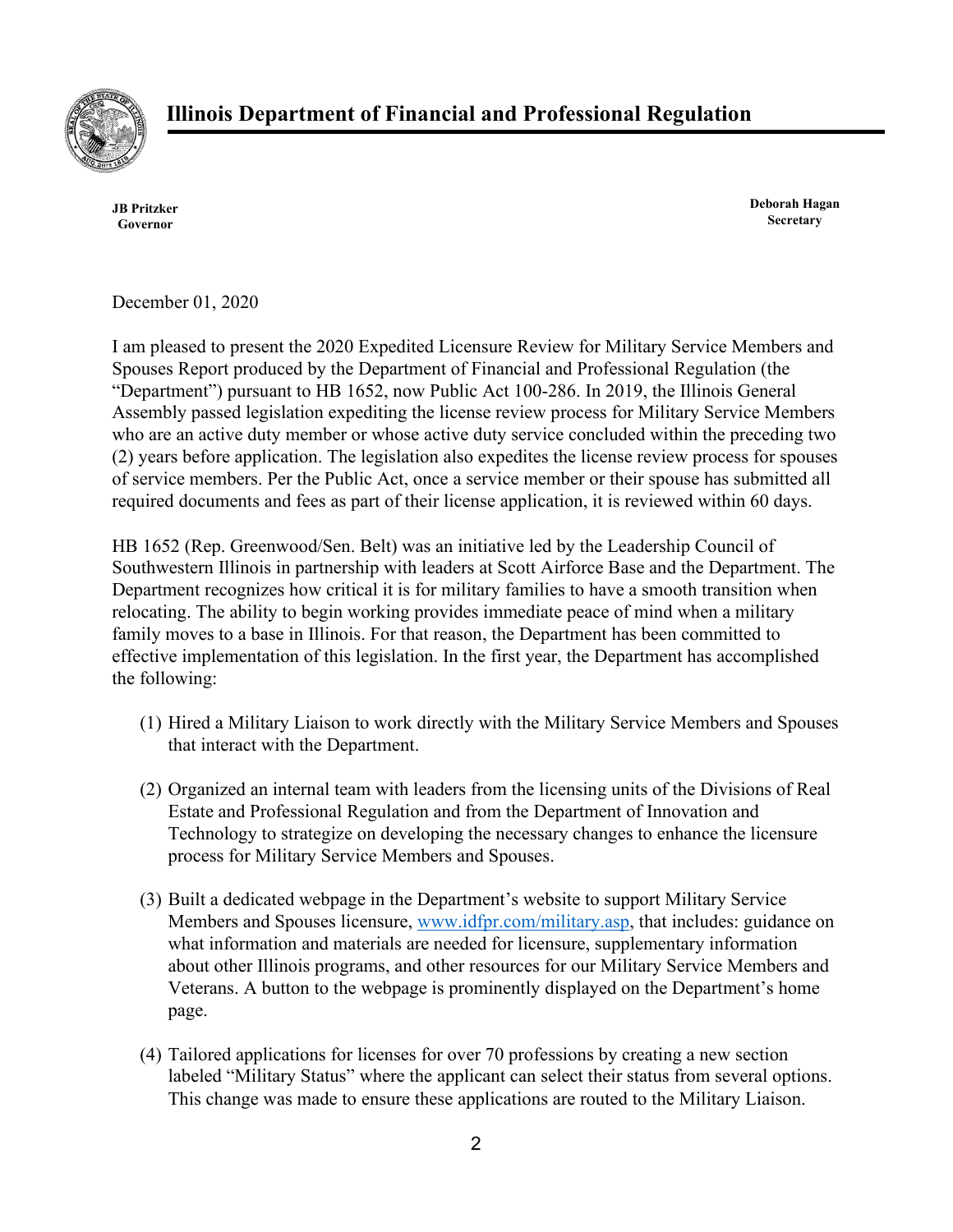

**JB Pritzker Governor**

**Deborah Hagan Secretary**

December 01, 2020

I am pleased to present the 2020 Expedited Licensure Review for Military Service Members and Spouses Report produced by the Department of Financial and Professional Regulation (the "Department") pursuant to HB 1652, now Public Act 100-286. In 2019, the Illinois General Assembly passed legislation expediting the license review process for Military Service Members who are an active duty member or whose active duty service concluded within the preceding two (2) years before application. The legislation also expedites the license review process for spouses of service members. Per the Public Act, once a service member or their spouse has submitted all required documents and fees as part of their license application, it is reviewed within 60 days.

HB 1652 (Rep. Greenwood/Sen. Belt) was an initiative led by the Leadership Council of Southwestern Illinois in partnership with leaders at Scott Airforce Base and the Department. The Department recognizes how critical it is for military families to have a smooth transition when relocating. The ability to begin working provides immediate peace of mind when a military family moves to a base in Illinois. For that reason, the Department has been committed to effective implementation of this legislation. In the first year, the Department has accomplished the following:

- (1) Hired a Military Liaison to work directly with the Military Service Members and Spouses that interact with the Department.
- (2) Organized an internal team with leaders from the licensing units of the Divisions of Real Estate and Professional Regulation and from the Department of Innovation and Technology to strategize on developing the necessary changes to enhance the licensure process for Military Service Members and Spouses.
- (3) Built a dedicated webpage in the Department's website to support Military Service Members and Spouses licensure, [www.idfpr.com/military.asp,](http://www.idfpr.com/military.asp,) that includes: guidance on what information and materials are needed for licensure, supplementary information about other Illinois programs, and other resources for our Military Service Members and Veterans. A button to the webpage is prominently displayed on the Department's home page.
- (4) Tailored applications for licenses for over 70 professions by creating a new section labeled "Military Status" where the applicant can select their status from several options. This change was made to ensure these applications are routed to the Military Liaison.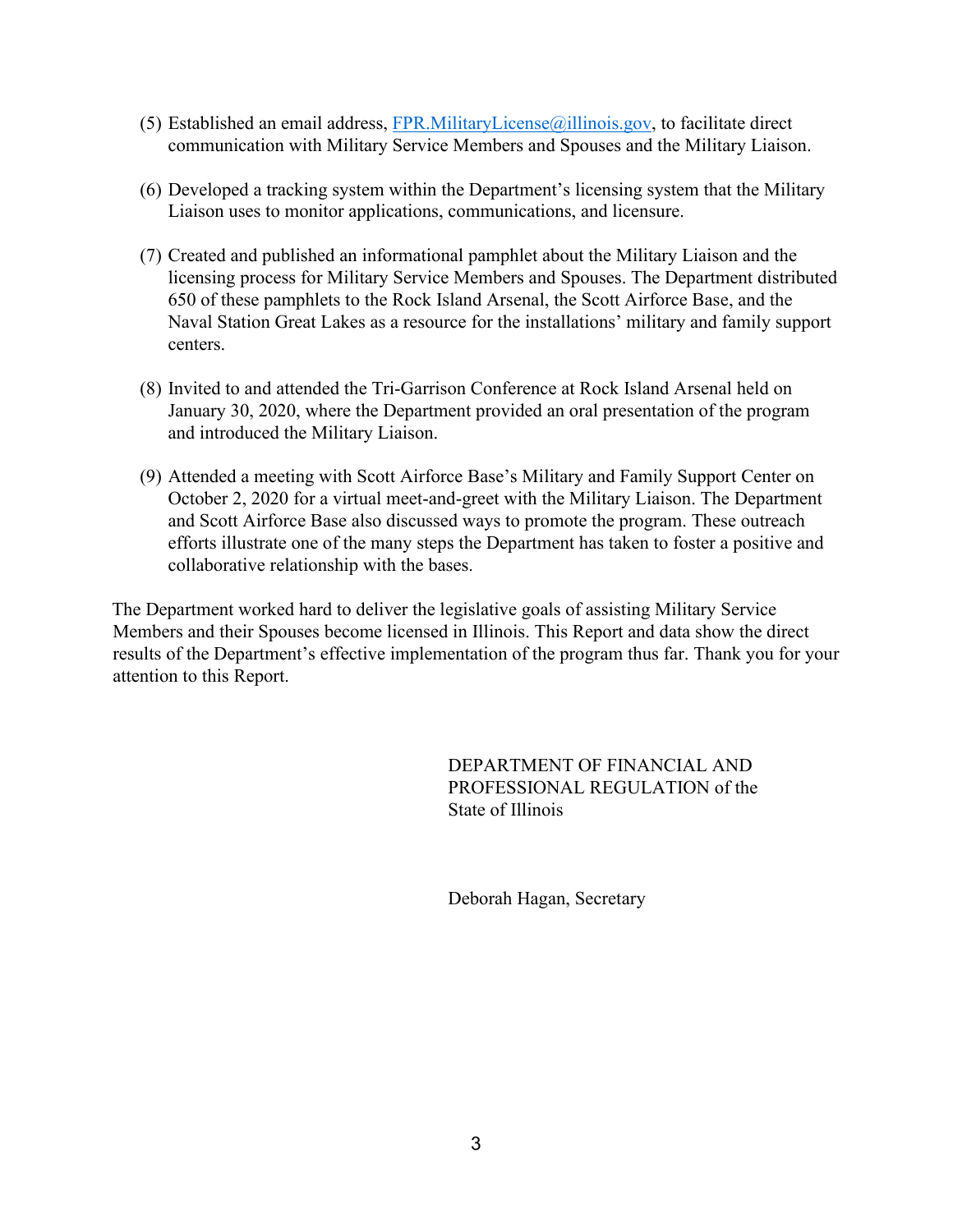- (5) Established an email address,  $FPR$ . Military License  $@$  illinois.gov, to facilitate direct communication with Military Service Members and Spouses and the Military Liaison.
- (6) Developed a tracking system within the Department's licensing system that the Military Liaison uses to monitor applications, communications, and licensure.
- (7) Created and published an informational pamphlet about the Military Liaison and the licensing process for Military Service Members and Spouses. The Department distributed 650 of these pamphlets to the Rock Island Arsenal, the Scott Airforce Base, and the Naval Station Great Lakes as a resource for the installations' military and family support centers.
- (8) Invited to and attended the Tri-Garrison Conference at Rock Island Arsenal held on January 30, 2020, where the Department provided an oral presentation of the program and introduced the Military Liaison.
- (9) Attended a meeting with Scott Airforce Base's Military and Family Support Center on October 2, 2020 for a virtual meet-and-greet with the Military Liaison. The Department and Scott Airforce Base also discussed ways to promote the program. These outreach efforts illustrate one of the many steps the Department has taken to foster a positive and collaborative relationship with the bases.

The Department worked hard to deliver the legislative goals of assisting Military Service Members and their Spouses become licensed in Illinois. This Report and data show the direct results of the Department's effective implementation of the program thus far. Thank you for your attention to this Report.

> DEPARTMENT OF FINANCIAL AND PROFESSIONAL REGULATION of the State of Illinois

Deborah Hagan, Secretary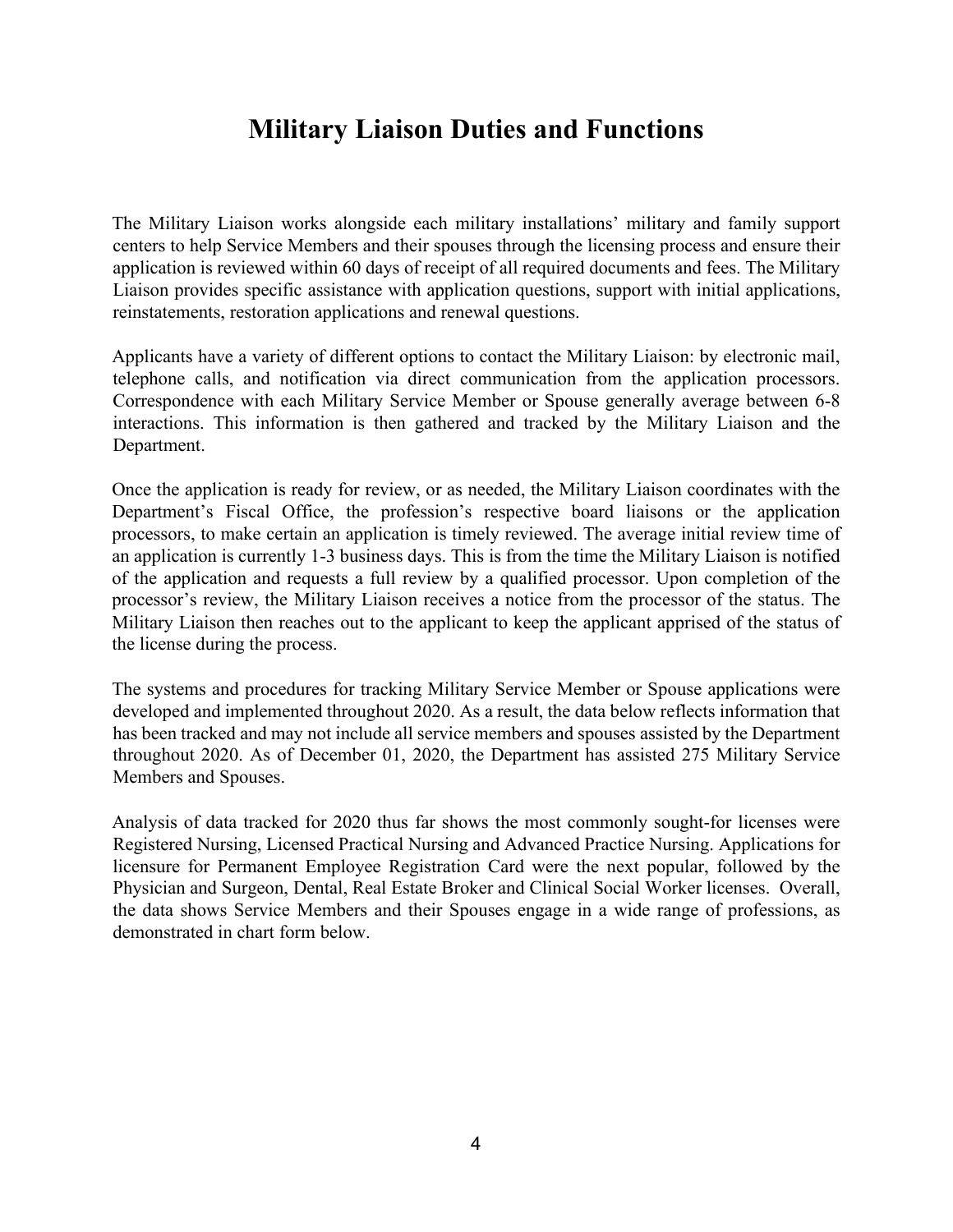## **Military Liaison Duties and Functions**

The Military Liaison works alongside each military installations' military and family support centers to help Service Members and their spouses through the licensing process and ensure their application is reviewed within 60 days of receipt of all required documents and fees. The Military Liaison provides specific assistance with application questions, support with initial applications, reinstatements, restoration applications and renewal questions.

Applicants have a variety of different options to contact the Military Liaison: by electronic mail, telephone calls, and notification via direct communication from the application processors. Correspondence with each Military Service Member or Spouse generally average between 6-8 interactions. This information is then gathered and tracked by the Military Liaison and the Department.

Once the application is ready for review, or as needed, the Military Liaison coordinates with the Department's Fiscal Office, the profession's respective board liaisons or the application processors, to make certain an application is timely reviewed. The average initial review time of an application is currently 1-3 business days. This is from the time the Military Liaison is notified of the application and requests a full review by a qualified processor. Upon completion of the processor's review, the Military Liaison receives a notice from the processor of the status. The Military Liaison then reaches out to the applicant to keep the applicant apprised of the status of the license during the process.

The systems and procedures for tracking Military Service Member or Spouse applications were developed and implemented throughout 2020. As a result, the data below reflects information that has been tracked and may not include all service members and spouses assisted by the Department throughout 2020. As of December 01, 2020, the Department has assisted 275 Military Service Members and Spouses.

Analysis of data tracked for 2020 thus far shows the most commonly sought-for licenses were Registered Nursing, Licensed Practical Nursing and Advanced Practice Nursing. Applications for licensure for Permanent Employee Registration Card were the next popular, followed by the Physician and Surgeon, Dental, Real Estate Broker and Clinical Social Worker licenses. Overall, the data shows Service Members and their Spouses engage in a wide range of professions, as demonstrated in chart form below.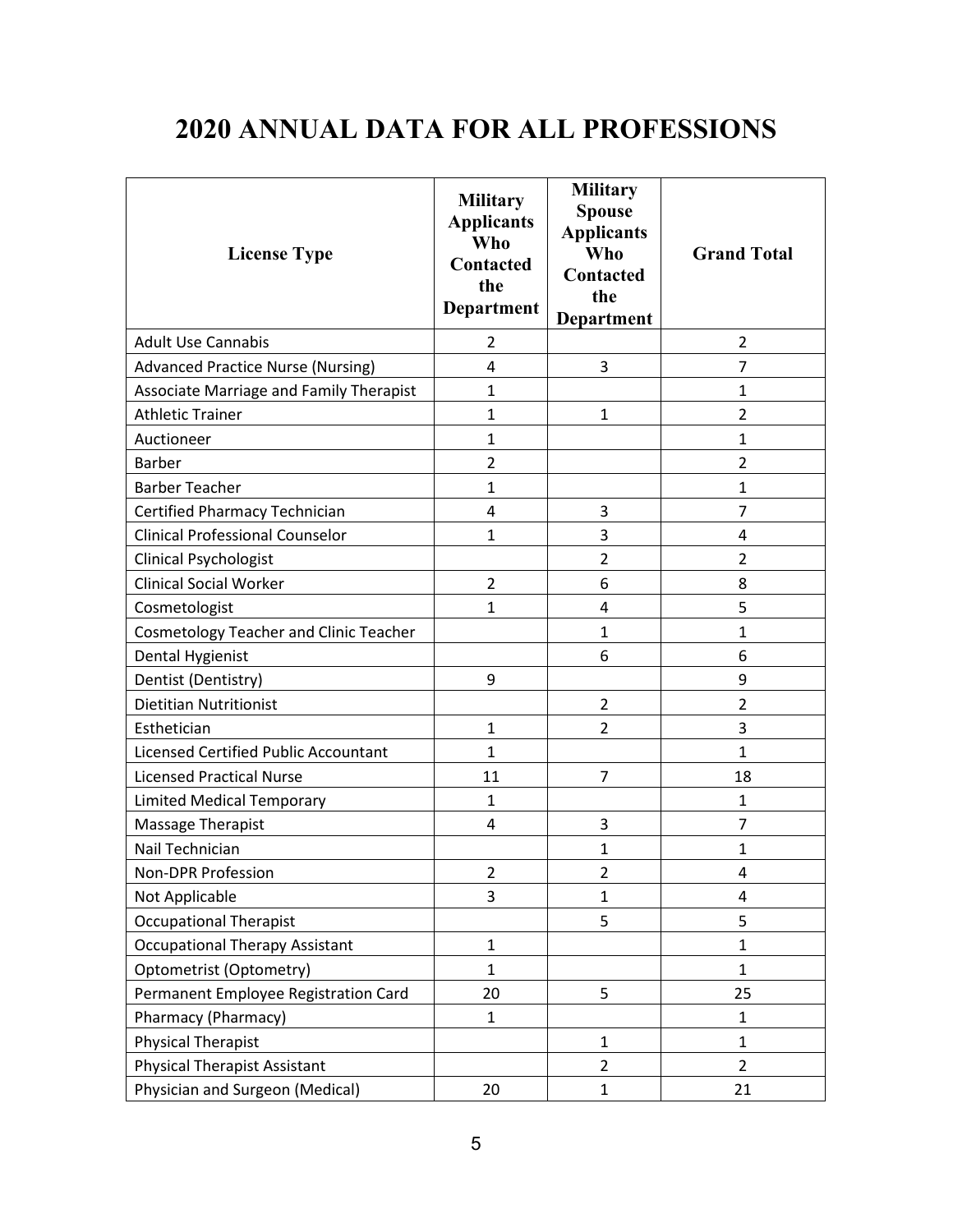## **2020 ANNUAL DATA FOR ALL PROFESSIONS**

| <b>License Type</b>                           | <b>Military</b><br><b>Applicants</b><br><b>Who</b><br>Contacted<br>the<br><b>Department</b> | <b>Military</b><br><b>Spouse</b><br><b>Applicants</b><br><b>Who</b><br><b>Contacted</b><br>the<br><b>Department</b> | <b>Grand Total</b> |
|-----------------------------------------------|---------------------------------------------------------------------------------------------|---------------------------------------------------------------------------------------------------------------------|--------------------|
| <b>Adult Use Cannabis</b>                     | 2                                                                                           |                                                                                                                     | $\overline{2}$     |
| <b>Advanced Practice Nurse (Nursing)</b>      | 4                                                                                           | 3                                                                                                                   | $\overline{7}$     |
| Associate Marriage and Family Therapist       | $\mathbf{1}$                                                                                |                                                                                                                     | $\mathbf{1}$       |
| <b>Athletic Trainer</b>                       | $\mathbf{1}$                                                                                | $\mathbf{1}$                                                                                                        | 2                  |
| Auctioneer                                    | $\mathbf{1}$                                                                                |                                                                                                                     | 1                  |
| <b>Barber</b>                                 | $\overline{2}$                                                                              |                                                                                                                     | $\overline{2}$     |
| <b>Barber Teacher</b>                         | $\mathbf{1}$                                                                                |                                                                                                                     | 1                  |
| Certified Pharmacy Technician                 | 4                                                                                           | 3                                                                                                                   | 7                  |
| <b>Clinical Professional Counselor</b>        | $\mathbf{1}$                                                                                | 3                                                                                                                   | 4                  |
| <b>Clinical Psychologist</b>                  |                                                                                             | $\overline{2}$                                                                                                      | 2                  |
| <b>Clinical Social Worker</b>                 | $\overline{2}$                                                                              | 6                                                                                                                   | 8                  |
| Cosmetologist                                 | $\mathbf{1}$                                                                                | $\overline{4}$                                                                                                      | 5                  |
| <b>Cosmetology Teacher and Clinic Teacher</b> |                                                                                             | $\mathbf{1}$                                                                                                        | 1                  |
| Dental Hygienist                              |                                                                                             | 6                                                                                                                   | 6                  |
| Dentist (Dentistry)                           | 9                                                                                           |                                                                                                                     | 9                  |
| <b>Dietitian Nutritionist</b>                 |                                                                                             | $\overline{2}$                                                                                                      | 2                  |
| Esthetician                                   | $\mathbf{1}$                                                                                | $\overline{2}$                                                                                                      | 3                  |
| <b>Licensed Certified Public Accountant</b>   | $\mathbf{1}$                                                                                |                                                                                                                     | $\mathbf{1}$       |
| <b>Licensed Practical Nurse</b>               | 11                                                                                          | $\overline{7}$                                                                                                      | 18                 |
| <b>Limited Medical Temporary</b>              | $\mathbf{1}$                                                                                |                                                                                                                     | 1                  |
| Massage Therapist                             | 4                                                                                           | 3                                                                                                                   | $\overline{7}$     |
| Nail Technician                               |                                                                                             | 1                                                                                                                   | 1                  |
| Non-DPR Profession                            | 2                                                                                           | 2                                                                                                                   | 4                  |
| Not Applicable                                | 3                                                                                           | $\mathbf{1}$                                                                                                        | 4                  |
| <b>Occupational Therapist</b>                 |                                                                                             | 5                                                                                                                   | 5                  |
| <b>Occupational Therapy Assistant</b>         | $\mathbf{1}$                                                                                |                                                                                                                     | $\mathbf{1}$       |
| Optometrist (Optometry)                       | $\mathbf{1}$                                                                                |                                                                                                                     | $\mathbf{1}$       |
| Permanent Employee Registration Card          | 20                                                                                          | 5                                                                                                                   | 25                 |
| Pharmacy (Pharmacy)                           | $\mathbf{1}$                                                                                |                                                                                                                     | 1                  |
| <b>Physical Therapist</b>                     |                                                                                             | $\mathbf{1}$                                                                                                        | $\mathbf{1}$       |
| <b>Physical Therapist Assistant</b>           |                                                                                             | $\overline{2}$                                                                                                      | $\overline{2}$     |
| Physician and Surgeon (Medical)               | 20                                                                                          | $\mathbf{1}$                                                                                                        | 21                 |